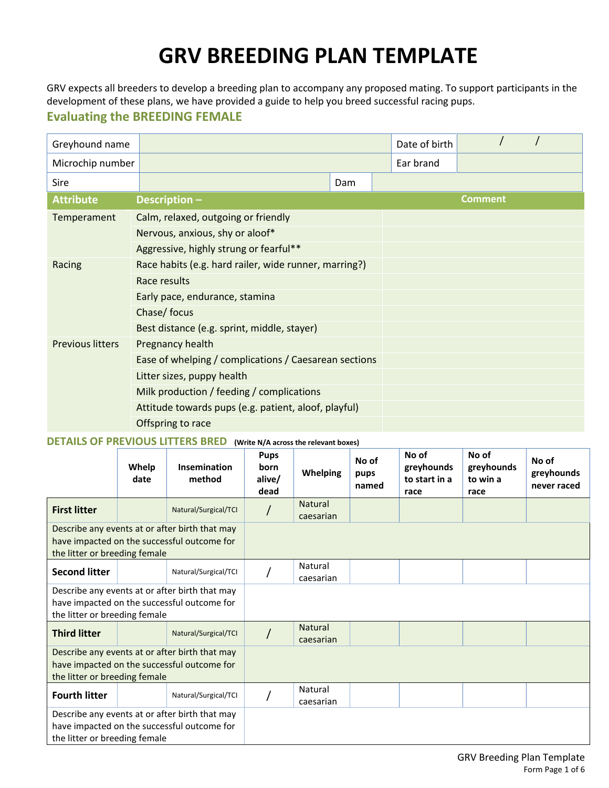# **GRV BREEDING PLAN TEMPLATE**

GRV expects all breeders to develop a breeding plan to accompany any proposed mating. To support participants in the development of these plans, we have provided a guide to help you breed successful racing pups. **Evaluating the BREEDING FEMALE**

| Greyhound name          |                                                       | Date of birth |  |                |  |
|-------------------------|-------------------------------------------------------|---------------|--|----------------|--|
| Microchip number        |                                                       | Ear brand     |  |                |  |
| Sire                    |                                                       | Dam           |  |                |  |
| <b>Attribute</b>        | Description -                                         |               |  | <b>Comment</b> |  |
| Temperament             | Calm, relaxed, outgoing or friendly                   |               |  |                |  |
|                         | Nervous, anxious, shy or aloof*                       |               |  |                |  |
|                         | Aggressive, highly strung or fearful**                |               |  |                |  |
| Racing                  | Race habits (e.g. hard railer, wide runner, marring?) |               |  |                |  |
|                         | Race results                                          |               |  |                |  |
|                         | Early pace, endurance, stamina                        |               |  |                |  |
|                         | Chase/ focus                                          |               |  |                |  |
|                         | Best distance (e.g. sprint, middle, stayer)           |               |  |                |  |
| <b>Previous litters</b> | Pregnancy health                                      |               |  |                |  |
|                         | Ease of whelping / complications / Caesarean sections |               |  |                |  |
|                         | Litter sizes, puppy health                            |               |  |                |  |
|                         | Milk production / feeding / complications             |               |  |                |  |
|                         | Attitude towards pups (e.g. patient, aloof, playful)  |               |  |                |  |
|                         | Offspring to race                                     |               |  |                |  |

### **DETAILS OF PREVIOUS LITTERS BRED (Write N/A across the relevant boxes)**

|                                                                                                                                | Whelp<br>date | Insemination<br>method | <b>Pups</b><br>born<br>alive/<br>dead | <b>Whelping</b>             | No of<br>pups<br>named | No of<br>greyhounds<br>to start in a<br>race | No of<br>greyhounds<br>to win a<br>race | No of<br>greyhounds<br>never raced |
|--------------------------------------------------------------------------------------------------------------------------------|---------------|------------------------|---------------------------------------|-----------------------------|------------------------|----------------------------------------------|-----------------------------------------|------------------------------------|
| <b>First litter</b>                                                                                                            |               | Natural/Surgical/TCI   |                                       | <b>Natural</b><br>caesarian |                        |                                              |                                         |                                    |
| Describe any events at or after birth that may<br>have impacted on the successful outcome for<br>the litter or breeding female |               |                        |                                       |                             |                        |                                              |                                         |                                    |
| <b>Second litter</b>                                                                                                           |               | Natural/Surgical/TCI   |                                       | Natural<br>caesarian        |                        |                                              |                                         |                                    |
| Describe any events at or after birth that may<br>have impacted on the successful outcome for<br>the litter or breeding female |               |                        |                                       |                             |                        |                                              |                                         |                                    |
| <b>Third litter</b>                                                                                                            |               | Natural/Surgical/TCI   |                                       | <b>Natural</b><br>caesarian |                        |                                              |                                         |                                    |
| Describe any events at or after birth that may<br>have impacted on the successful outcome for<br>the litter or breeding female |               |                        |                                       |                             |                        |                                              |                                         |                                    |
| <b>Fourth litter</b>                                                                                                           |               | Natural/Surgical/TCI   |                                       | Natural<br>caesarian        |                        |                                              |                                         |                                    |
| Describe any events at or after birth that may<br>have impacted on the successful outcome for<br>the litter or breeding female |               |                        |                                       |                             |                        |                                              |                                         |                                    |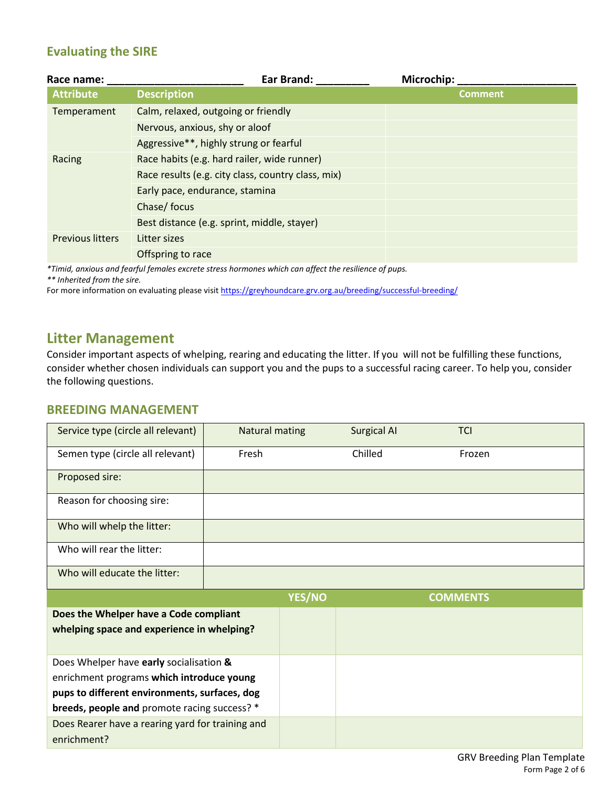# **Evaluating the SIRE**

| Race name:              | Ear Brand:                                         | Microchip:     |
|-------------------------|----------------------------------------------------|----------------|
| <b>Attribute</b>        | <b>Description</b>                                 | <b>Comment</b> |
| Temperament             | Calm, relaxed, outgoing or friendly                |                |
|                         | Nervous, anxious, shy or aloof                     |                |
|                         | Aggressive**, highly strung or fearful             |                |
| Racing                  | Race habits (e.g. hard railer, wide runner)        |                |
|                         | Race results (e.g. city class, country class, mix) |                |
|                         | Early pace, endurance, stamina                     |                |
|                         | Chase/ focus                                       |                |
|                         | Best distance (e.g. sprint, middle, stayer)        |                |
| <b>Previous litters</b> | Litter sizes                                       |                |
|                         | Offspring to race                                  |                |

*\*Timid, anxious and fearful females excrete stress hormones which can affect the resilience of pups.*

*\*\* Inherited from the sire.*

For more information on evaluating please visit<https://greyhoundcare.grv.org.au/breeding/successful-breeding/>

# **Litter Management**

Consider important aspects of whelping, rearing and educating the litter. If you will not be fulfilling these functions, consider whether chosen individuals can support you and the pups to a successful racing career. To help you, consider the following questions.

### **BREEDING MANAGEMENT**

| Service type (circle all relevant)                                                   | <b>Natural mating</b> |        | <b>Surgical AI</b> | <b>TCI</b>      |  |
|--------------------------------------------------------------------------------------|-----------------------|--------|--------------------|-----------------|--|
| Semen type (circle all relevant)                                                     | Fresh                 |        | Chilled            | Frozen          |  |
| Proposed sire:                                                                       |                       |        |                    |                 |  |
| Reason for choosing sire:                                                            |                       |        |                    |                 |  |
| Who will whelp the litter:                                                           |                       |        |                    |                 |  |
| Who will rear the litter:                                                            |                       |        |                    |                 |  |
| Who will educate the litter:                                                         |                       |        |                    |                 |  |
|                                                                                      |                       | YES/NO |                    | <b>COMMENTS</b> |  |
| Does the Whelper have a Code compliant<br>whelping space and experience in whelping? |                       |        |                    |                 |  |
| Does Whelper have early socialisation &                                              |                       |        |                    |                 |  |
| enrichment programs which introduce young                                            |                       |        |                    |                 |  |
| pups to different environments, surfaces, dog                                        |                       |        |                    |                 |  |
| breeds, people and promote racing success? *                                         |                       |        |                    |                 |  |
| Does Rearer have a rearing yard for training and<br>enrichment?                      |                       |        |                    |                 |  |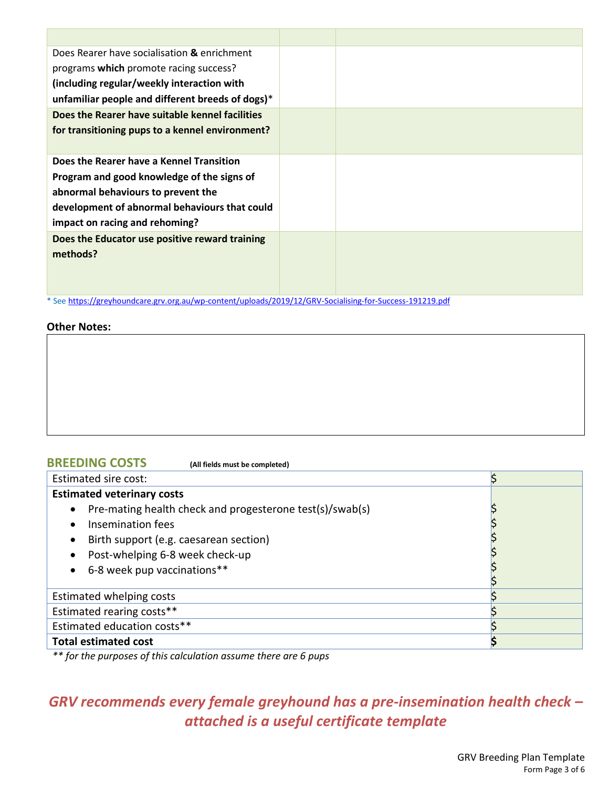| Does Rearer have socialisation & enrichment      |  |
|--------------------------------------------------|--|
| programs which promote racing success?           |  |
| (including regular/weekly interaction with       |  |
| unfamiliar people and different breeds of dogs)* |  |
| Does the Rearer have suitable kennel facilities  |  |
| for transitioning pups to a kennel environment?  |  |
|                                                  |  |
| Does the Rearer have a Kennel Transition         |  |
| Program and good knowledge of the signs of       |  |
| abnormal behaviours to prevent the               |  |
| development of abnormal behaviours that could    |  |
| impact on racing and rehoming?                   |  |
| Does the Educator use positive reward training   |  |
| methods?                                         |  |
|                                                  |  |
|                                                  |  |

\* Se[e https://greyhoundcare.grv.org.au/wp-content/uploads/2019/12/GRV-Socialising-for-Success-191219.pdf](https://greyhoundcare.grv.org.au/wp-content/uploads/2019/12/GRV-Socialising-for-Success-191219.pdf)

#### **Other Notes:**

#### **BREEDING COSTS (All fields must be completed)**

| Estimated sire cost:                                                  |  |
|-----------------------------------------------------------------------|--|
| <b>Estimated veterinary costs</b>                                     |  |
| Pre-mating health check and progesterone test(s)/swab(s)<br>$\bullet$ |  |
| Insemination fees<br>$\bullet$                                        |  |
| Birth support (e.g. caesarean section)<br>$\bullet$                   |  |
| Post-whelping 6-8 week check-up<br>$\bullet$                          |  |
| 6-8 week pup vaccinations**<br>$\bullet$                              |  |
|                                                                       |  |
| Estimated whelping costs                                              |  |
| Estimated rearing costs**                                             |  |
| Estimated education costs**                                           |  |
| <b>Total estimated cost</b>                                           |  |

*\*\* for the purposes of this calculation assume there are 6 pups*

# *GRV recommends every female greyhound has a pre-insemination health check – attached is a useful certificate template*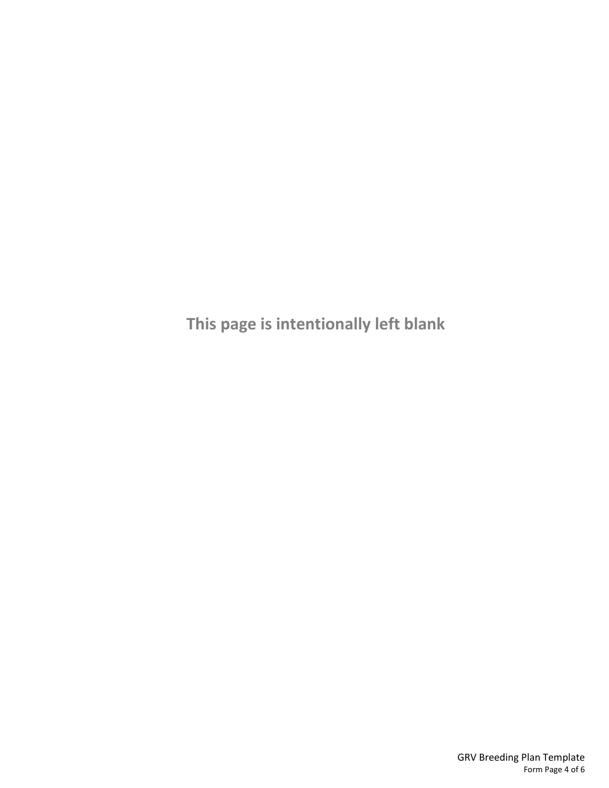**This page is intentionally left blank**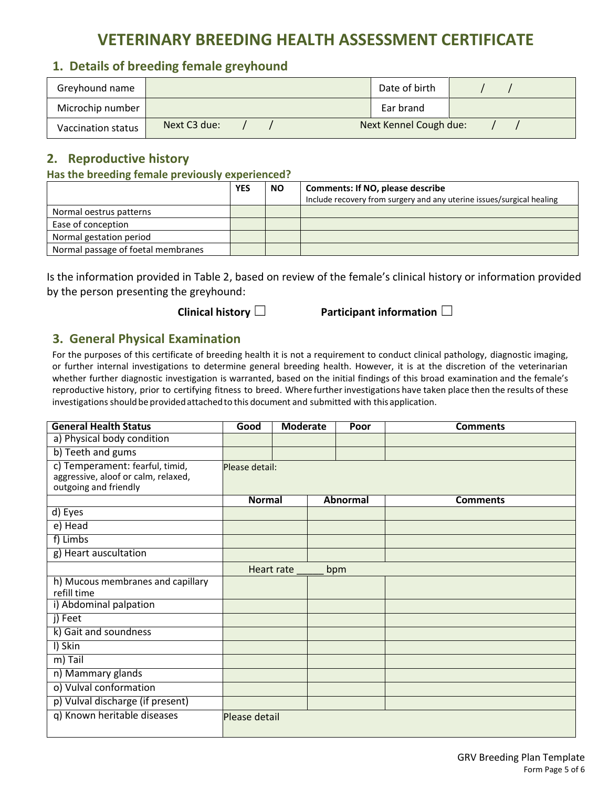# **VETERINARY BREEDING HEALTH ASSESSMENT CERTIFICATE**

## **1. Details of breeding female greyhound**

| Greyhound name     |              |  | Date of birth          |  |  |
|--------------------|--------------|--|------------------------|--|--|
| Microchip number   |              |  | Ear brand              |  |  |
| Vaccination status | Next C3 due: |  | Next Kennel Cough due: |  |  |

## **2. Reproductive history**

#### **Has the breeding female previously experienced?**

|                                    | <b>YES</b> | <b>NO</b> | <b>Comments: If NO, please describe</b>                               |
|------------------------------------|------------|-----------|-----------------------------------------------------------------------|
|                                    |            |           | Include recovery from surgery and any uterine issues/surgical healing |
| Normal oestrus patterns            |            |           |                                                                       |
| Ease of conception                 |            |           |                                                                       |
| Normal gestation period            |            |           |                                                                       |
| Normal passage of foetal membranes |            |           |                                                                       |

Is the information provided in Table 2, based on review of the female's clinical history or information provided by the person presenting the greyhound:

**Clinical history** ☐ **Participant information** ☐

# **3. General Physical Examination**

For the purposes of this certificate of breeding health it is not a requirement to conduct clinical pathology, diagnostic imaging, or further internal investigations to determine general breeding health. However, it is at the discretion of the veterinarian whether further diagnostic investigation is warranted, based on the initial findings of this broad examination and the female's reproductive history, prior to certifying fitness to breed. Where further investigations have taken place then the results of these investigations should be provided attached to this document and submitted with this application.

| <b>General Health Status</b>                                                                    | Good           | <b>Moderate</b> | Poor     | <b>Comments</b> |
|-------------------------------------------------------------------------------------------------|----------------|-----------------|----------|-----------------|
| a) Physical body condition                                                                      |                |                 |          |                 |
| b) Teeth and gums                                                                               |                |                 |          |                 |
| c) Temperament: fearful, timid,<br>aggressive, aloof or calm, relaxed,<br>outgoing and friendly | Please detail: |                 |          |                 |
|                                                                                                 | <b>Normal</b>  |                 | Abnormal | <b>Comments</b> |
| d) Eyes                                                                                         |                |                 |          |                 |
| e) Head                                                                                         |                |                 |          |                 |
| f) Limbs                                                                                        |                |                 |          |                 |
| g) Heart auscultation                                                                           |                |                 |          |                 |
|                                                                                                 |                | Heart rate      | bpm      |                 |
| h) Mucous membranes and capillary<br>refill time                                                |                |                 |          |                 |
| i) Abdominal palpation                                                                          |                |                 |          |                 |
| j) Feet                                                                                         |                |                 |          |                 |
| k) Gait and soundness                                                                           |                |                 |          |                 |
| I) Skin                                                                                         |                |                 |          |                 |
| m) Tail                                                                                         |                |                 |          |                 |
| n) Mammary glands                                                                               |                |                 |          |                 |
| o) Vulval conformation                                                                          |                |                 |          |                 |
| p) Vulval discharge (if present)                                                                |                |                 |          |                 |
| q) Known heritable diseases                                                                     | Please detail  |                 |          |                 |